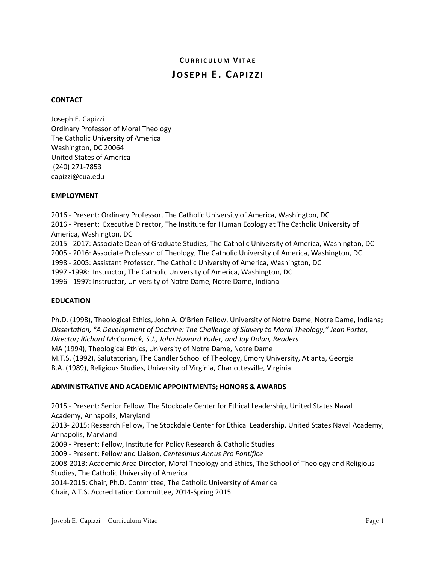# **C URRICULUM VITAE JOSEPH E. CAPIZZI**

## **CONTACT**

Joseph E. Capizzi Ordinary Professor of Moral Theology The Catholic University of America Washington, DC 20064 United States of America (240) 271-7853 capizzi@cua.edu

## **EMPLOYMENT**

2016 - Present: Ordinary Professor, The Catholic University of America, Washington, DC 2016 - Present: Executive Director, The Institute for Human Ecology at The Catholic University of America, Washington, DC 2015 - 2017: Associate Dean of Graduate Studies, The Catholic University of America, Washington, DC 2005 - 2016: Associate Professor of Theology, The Catholic University of America, Washington, DC 1998 - 2005: Assistant Professor, The Catholic University of America, Washington, DC 1997 -1998: Instructor, The Catholic University of America, Washington, DC

1996 - 1997: Instructor, University of Notre Dame, Notre Dame, Indiana

#### **EDUCATION**

Ph.D. (1998), Theological Ethics, John A. O'Brien Fellow, University of Notre Dame, Notre Dame, Indiana; *Dissertation, "A Development of Doctrine: The Challenge of Slavery to Moral Theology," Jean Porter, Director; Richard McCormick, S.J., John Howard Yoder, and Jay Dolan, Readers* MA (1994), Theological Ethics, University of Notre Dame, Notre Dame M.T.S. (1992), Salutatorian, The Candler School of Theology, Emory University, Atlanta, Georgia B.A. (1989), Religious Studies, University of Virginia, Charlottesville, Virginia

#### **ADMINISTRATIVE AND ACADEMIC APPOINTMENTS; HONORS & AWARDS**

2015 - Present: Senior Fellow, The Stockdale Center for Ethical Leadership, United States Naval Academy, Annapolis, Maryland 2013- 2015: Research Fellow, The Stockdale Center for Ethical Leadership, United States Naval Academy, Annapolis, Maryland 2009 - Present: Fellow, Institute for Policy Research & Catholic Studies 2009 - Present: Fellow and Liaison, *Centesimus Annus Pro Pontifice*

2008-2013: Academic Area Director, Moral Theology and Ethics, The School of Theology and Religious Studies, The Catholic University of America

2014-2015: Chair, Ph.D. Committee, The Catholic University of America

Chair, A.T.S. Accreditation Committee, 2014-Spring 2015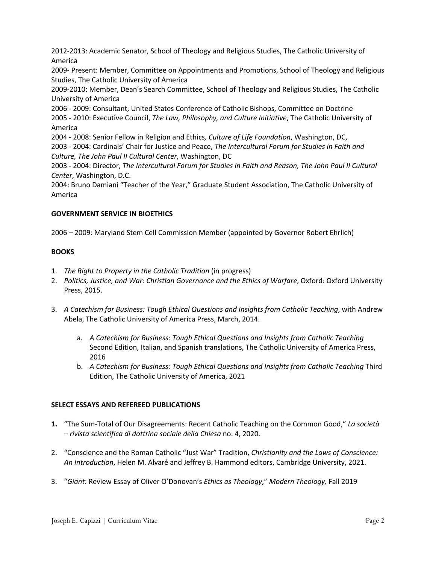2012-2013: Academic Senator, School of Theology and Religious Studies, The Catholic University of America

2009- Present: Member, Committee on Appointments and Promotions, School of Theology and Religious Studies, The Catholic University of America

2009-2010: Member, Dean's Search Committee, School of Theology and Religious Studies, The Catholic University of America

2006 - 2009: Consultant, United States Conference of Catholic Bishops, Committee on Doctrine 2005 - 2010: Executive Council, *The Law, Philosophy, and Culture Initiative*, The Catholic University of America

2004 - 2008: Senior Fellow in Religion and Ethics*, Culture of Life Foundation*, Washington, DC, 2003 - 2004: Cardinals' Chair for Justice and Peace, *The Intercultural Forum for Studies in Faith and Culture, The John Paul II Cultural Center*, Washington, DC

2003 - 2004: Director, *The Intercultural Forum for Studies in Faith and Reason, The John Paul II Cultural Center*, Washington, D.C.

2004: Bruno Damiani "Teacher of the Year," Graduate Student Association, The Catholic University of America

# **GOVERNMENT SERVICE IN BIOETHICS**

2006 – 2009: Maryland Stem Cell Commission Member (appointed by Governor Robert Ehrlich)

# **BOOKS**

- 1. *The Right to Property in the Catholic Tradition* (in progress)
- 2. *Politics, Justice, and War: Christian Governance and the Ethics of Warfare*, Oxford: Oxford University Press, 2015.
- 3. *A Catechism for Business: Tough Ethical Questions and Insights from Catholic Teaching*, with Andrew Abela, The Catholic University of America Press, March, 2014.
	- a. *A Catechism for Business: Tough Ethical Questions and Insights from Catholic Teaching* Second Edition, Italian, and Spanish translations, The Catholic University of America Press, 2016
	- b. *A Catechism for Business: Tough Ethical Questions and Insights from Catholic Teaching* Third Edition, The Catholic University of America, 2021

## **SELECT ESSAYS AND REFEREED PUBLICATIONS**

- **1.** "The Sum-Total of Our Disagreements: Recent Catholic Teaching on the Common Good," *La società – rivista scientifica di dottrina sociale della Chiesa* no. 4, 2020.
- 2. "Conscience and the Roman Catholic "Just War" Tradition, *Christianity and the Laws of Conscience: An Introduction*, Helen M. Alvaré and Jeffrey B. Hammond editors, Cambridge University, 2021.
- 3. "*Giant*: Review Essay of Oliver O'Donovan's *Ethics as Theology*," *Modern Theology,* Fall 2019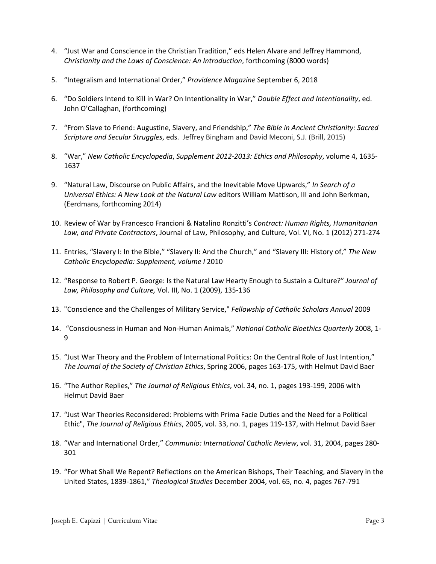- 4. "Just War and Conscience in the Christian Tradition," eds Helen Alvare and Jeffrey Hammond, *Christianity and the Laws of Conscience: An Introduction*, forthcoming (8000 words)
- 5. "Integralism and International Order," *Providence Magazine* September 6, 2018
- 6. "Do Soldiers Intend to Kill in War? On Intentionality in War," *Double Effect and Intentionality*, ed. John O'Callaghan, (forthcoming)
- 7. "From Slave to Friend: Augustine, Slavery, and Friendship," *The Bible in Ancient Christianity: Sacred Scripture and Secular Struggles*, eds. Jeffrey Bingham and David Meconi, S.J. (Brill, 2015)
- 8. "War," *New Catholic Encyclopedia*, *Supplement 2012-2013: Ethics and Philosophy*, volume 4, 1635- 1637
- 9. "Natural Law, Discourse on Public Affairs, and the Inevitable Move Upwards," *In Search of a Universal Ethics: A New Look at the Natural Law* editors William Mattison, III and John Berkman, (Eerdmans, forthcoming 2014)
- 10. Review of War by Francesco Francioni & Natalino Ronzitti's *Contract: Human Rights, Humanitarian Law, and Private Contractors*, Journal of Law, Philosophy, and Culture, Vol. VI, No. 1 (2012) 271-274
- 11. Entries, "Slavery I: In the Bible," "Slavery II: And the Church," and "Slavery III: History of," *The New Catholic Encyclopedia: Supplement, volume I* 2010
- 12. "Response to Robert P. George: Is the Natural Law Hearty Enough to Sustain a Culture?" *Journal of Law, Philosophy and Culture,* Vol. III, No. 1 (2009), 135-136
- 13. "Conscience and the Challenges of Military Service," *Fellowship of Catholic Scholars Annual* 2009
- 14. "Consciousness in Human and Non-Human Animals," *National Catholic Bioethics Quarterly* 2008, 1- 9
- 15. "Just War Theory and the Problem of International Politics: On the Central Role of Just Intention," *The Journal of the Society of Christian Ethics*, Spring 2006, pages 163-175, with Helmut David Baer
- 16. "The Author Replies," *The Journal of Religious Ethics*, vol. 34, no. 1, pages 193-199, 2006 with Helmut David Baer
- 17. "Just War Theories Reconsidered: Problems with Prima Facie Duties and the Need for a Political Ethic", *The Journal of Religious Ethics*, 2005, vol. 33, no. 1, pages 119-137, with Helmut David Baer
- 18. "War and International Order," *Communio: International Catholic Review*, vol. 31, 2004, pages 280- 301
- 19. "For What Shall We Repent? Reflections on the American Bishops, Their Teaching, and Slavery in the United States, 1839-1861," *Theological Studies* December 2004, vol. 65, no. 4, pages 767-791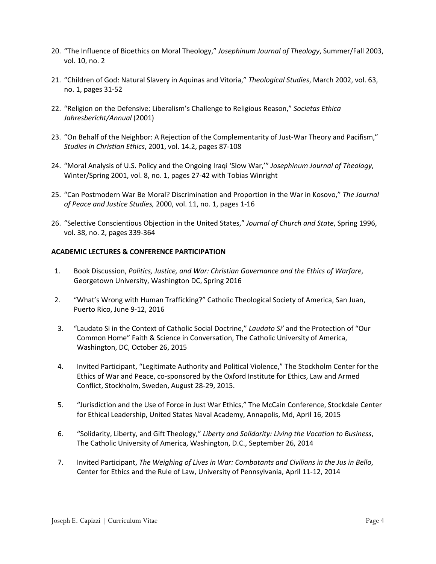- 20. "The Influence of Bioethics on Moral Theology," *Josephinum Journal of Theology*, Summer/Fall 2003, vol. 10, no. 2
- 21. "Children of God: Natural Slavery in Aquinas and Vitoria," *Theological Studies*, March 2002, vol. 63, no. 1, pages 31-52
- 22. "Religion on the Defensive: Liberalism's Challenge to Religious Reason," *Societas Ethica Jahresbericht/Annual* (2001)
- 23. "On Behalf of the Neighbor: A Rejection of the Complementarity of Just-War Theory and Pacifism," *Studies in Christian Ethics*, 2001, vol. 14.2, pages 87-108
- 24. "Moral Analysis of U.S. Policy and the Ongoing Iraqi 'Slow War,'" *Josephinum Journal of Theology*, Winter/Spring 2001, vol. 8, no. 1, pages 27-42 with Tobias Winright
- 25. "Can Postmodern War Be Moral? Discrimination and Proportion in the War in Kosovo," *The Journal of Peace and Justice Studies,* 2000, vol. 11, no. 1, pages 1-16
- 26. "Selective Conscientious Objection in the United States," *Journal of Church and State*, Spring 1996, vol. 38, no. 2, pages 339-364

## **ACADEMIC LECTURES & CONFERENCE PARTICIPATION**

- 1. Book Discussion, *Politics, Justice, and War: Christian Governance and the Ethics of Warfare*, Georgetown University, Washington DC, Spring 2016
- 2. "What's Wrong with Human Trafficking?" Catholic Theological Society of America, San Juan, Puerto Rico, June 9-12, 2016
- 3. "Laudato Si in the Context of Catholic Social Doctrine," *Laudato Si'* and the Protection of "Our Common Home" Faith & Science in Conversation, The Catholic University of America, Washington, DC, October 26, 2015
- 4. Invited Participant, "Legitimate Authority and Political Violence," The Stockholm Center for the Ethics of War and Peace, co-sponsored by the Oxford Institute for Ethics, Law and Armed Conflict, Stockholm, Sweden, August 28-29, 2015.
- 5. "Jurisdiction and the Use of Force in Just War Ethics," The McCain Conference, Stockdale Center for Ethical Leadership, United States Naval Academy, Annapolis, Md, April 16, 2015
- 6. "Solidarity, Liberty, and Gift Theology," *Liberty and Solidarity: Living the Vocation to Business*, The Catholic University of America, Washington, D.C., September 26, 2014
- 7. Invited Participant, *The Weighing of Lives in War: Combatants and Civilians in the Jus in Bello*, Center for Ethics and the Rule of Law, University of Pennsylvania, April 11-12, 2014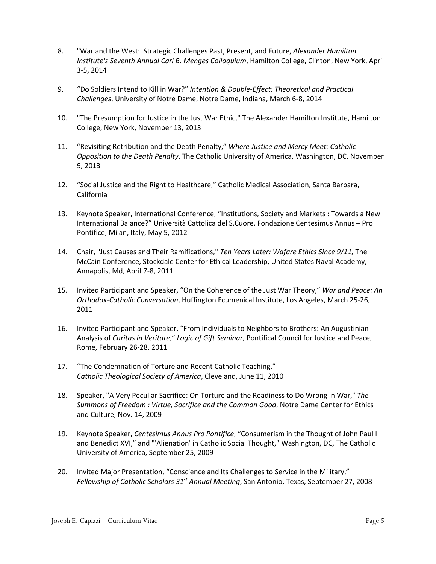- 8. "War and the West: Strategic Challenges Past, Present, and Future, *Alexander Hamilton Institute's Seventh Annual Carl B. Menges Colloquium*, Hamilton College, Clinton, New York, April 3-5, 2014
- 9. "Do Soldiers Intend to Kill in War?" *Intention & Double-Effect: Theoretical and Practical Challenges*, University of Notre Dame, Notre Dame, Indiana, March 6-8, 2014
- 10. "The Presumption for Justice in the Just War Ethic," The Alexander Hamilton Institute, Hamilton College, New York, November 13, 2013
- 11. "Revisiting Retribution and the Death Penalty," *Where Justice and Mercy Meet: Catholic Opposition to the Death Penalty*, The Catholic University of America, Washington, DC, November 9, 2013
- 12. "Social Justice and the Right to Healthcare," Catholic Medical Association, Santa Barbara, California
- 13. Keynote Speaker, International Conference, "Institutions, Society and Markets : Towards a New International Balance?" Università Cattolica del S.Cuore, Fondazione Centesimus Annus – Pro Pontifice, Milan, Italy, May 5, 2012
- 14. Chair, "Just Causes and Their Ramifications," *Ten Years Later: Wafare Ethics Since 9/11,* The McCain Conference, Stockdale Center for Ethical Leadership, United States Naval Academy, Annapolis, Md, April 7-8, 2011
- 15. Invited Participant and Speaker, "On the Coherence of the Just War Theory," *War and Peace: An Orthodox-Catholic Conversation*, Huffington Ecumenical Institute, Los Angeles, March 25-26, 2011
- 16. Invited Participant and Speaker, "From Individuals to Neighbors to Brothers: An Augustinian Analysis of *Caritas in Veritate*," *Logic of Gift Seminar*, Pontifical Council for Justice and Peace, Rome, February 26-28, 2011
- 17. "The Condemnation of Torture and Recent Catholic Teaching," *Catholic Theological Society of America*, Cleveland, June 11, 2010
- 18. Speaker, "A Very Peculiar Sacrifice: On Torture and the Readiness to Do Wrong in War," *The Summons of Freedom : Virtue, Sacrifice and the Common Good*, Notre Dame Center for Ethics and Culture, Nov. 14, 2009
- 19. Keynote Speaker, *Centesimus Annus Pro Pontifice*, "Consumerism in the Thought of John Paul II and Benedict XVI," and "'Alienation' in Catholic Social Thought," Washington, DC, The Catholic University of America, September 25, 2009
- 20. Invited Major Presentation, "Conscience and Its Challenges to Service in the Military," *Fellowship of Catholic Scholars 31st Annual Meeting*, San Antonio, Texas, September 27, 2008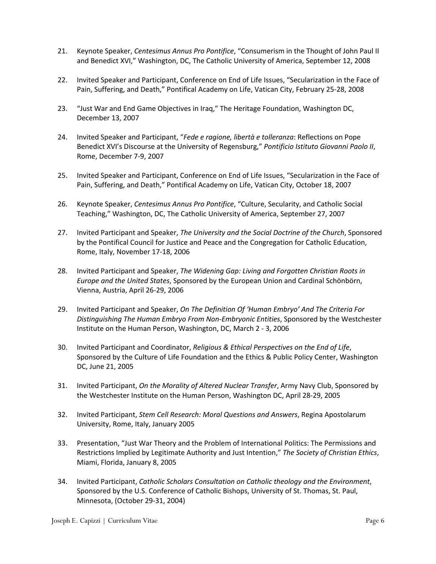- 21. Keynote Speaker, *Centesimus Annus Pro Pontifice*, "Consumerism in the Thought of John Paul II and Benedict XVI," Washington, DC, The Catholic University of America, September 12, 2008
- 22. Invited Speaker and Participant, Conference on End of Life Issues, "Secularization in the Face of Pain, Suffering, and Death," Pontifical Academy on Life, Vatican City, February 25-28, 2008
- 23. "Just War and End Game Objectives in Iraq," The Heritage Foundation, Washington DC, December 13, 2007
- 24. Invited Speaker and Participant, "*Fede e ragione, libertà e tolleranza*: Reflections on Pope Benedict XVI's Discourse at the University of Regensburg," *Pontificio Istituto Giovanni Paolo II*, Rome, December 7-9, 2007
- 25. Invited Speaker and Participant, Conference on End of Life Issues, "Secularization in the Face of Pain, Suffering, and Death," Pontifical Academy on Life, Vatican City, October 18, 2007
- 26. Keynote Speaker, *Centesimus Annus Pro Pontifice*, "Culture, Secularity, and Catholic Social Teaching," Washington, DC, The Catholic University of America, September 27, 2007
- 27. Invited Participant and Speaker, *The University and the Social Doctrine of the Church*, Sponsored by the Pontifical Council for Justice and Peace and the Congregation for Catholic Education, Rome, Italy, November 17-18, 2006
- 28. Invited Participant and Speaker, *The Widening Gap: Living and Forgotten Christian Roots in Europe and the United States*, Sponsored by the European Union and Cardinal Schönbörn, Vienna, Austria, April 26-29, 2006
- 29. Invited Participant and Speaker, *On The Definition Of 'Human Embryo' And The Criteria For Distinguishing The Human Embryo From Non-Embryonic Entities*, Sponsored by the Westchester Institute on the Human Person, Washington, DC, March 2 - 3, 2006
- 30. Invited Participant and Coordinator, *Religious & Ethical Perspectives on the End of Life*, Sponsored by the Culture of Life Foundation and the Ethics & Public Policy Center, Washington DC, June 21, 2005
- 31. Invited Participant, *On the Morality of Altered Nuclear Transfer*, Army Navy Club, Sponsored by the Westchester Institute on the Human Person, Washington DC, April 28-29, 2005
- 32. Invited Participant, *Stem Cell Research: Moral Questions and Answers*, Regina Apostolarum University, Rome, Italy, January 2005
- 33. Presentation, "Just War Theory and the Problem of International Politics: The Permissions and Restrictions Implied by Legitimate Authority and Just Intention," *The Society of Christian Ethics*, Miami, Florida, January 8, 2005
- 34. Invited Participant, *Catholic Scholars Consultation on Catholic theology and the Environment*, Sponsored by the U.S. Conference of Catholic Bishops, University of St. Thomas, St. Paul, Minnesota, (October 29-31, 2004)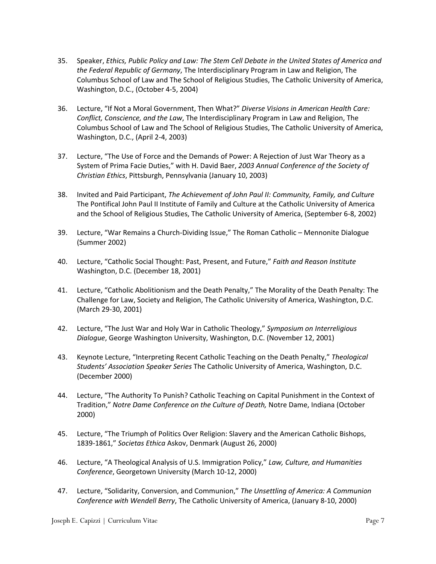- 35. Speaker, *Ethics, Public Policy and Law: The Stem Cell Debate in the United States of America and the Federal Republic of Germany*, The Interdisciplinary Program in Law and Religion, The Columbus School of Law and The School of Religious Studies, The Catholic University of America, Washington, D.C., (October 4-5, 2004)
- 36. Lecture, "If Not a Moral Government, Then What?" *Diverse Visions in American Health Care: Conflict, Conscience, and the Law*, The Interdisciplinary Program in Law and Religion, The Columbus School of Law and The School of Religious Studies, The Catholic University of America, Washington, D.C., (April 2-4, 2003)
- 37. Lecture, "The Use of Force and the Demands of Power: A Rejection of Just War Theory as a System of Prima Facie Duties," with H. David Baer, *2003 Annual Conference of the Society of Christian Ethics*, Pittsburgh, Pennsylvania (January 10, 2003)
- 38. Invited and Paid Participant, *The Achievement of John Paul II: Community, Family, and Culture* The Pontifical John Paul II Institute of Family and Culture at the Catholic University of America and the School of Religious Studies, The Catholic University of America, (September 6-8, 2002)
- 39. Lecture, "War Remains a Church-Dividing Issue," The Roman Catholic Mennonite Dialogue (Summer 2002)
- 40. Lecture, "Catholic Social Thought: Past, Present, and Future," *Faith and Reason Institute*  Washington, D.C. (December 18, 2001)
- 41. Lecture, "Catholic Abolitionism and the Death Penalty," The Morality of the Death Penalty: The Challenge for Law, Society and Religion, The Catholic University of America, Washington, D.C. (March 29-30, 2001)
- 42. Lecture, "The Just War and Holy War in Catholic Theology," *Symposium on Interreligious Dialogue*, George Washington University, Washington, D.C. (November 12, 2001)
- 43. Keynote Lecture, "Interpreting Recent Catholic Teaching on the Death Penalty," *Theological Students' Association Speaker Series* The Catholic University of America, Washington, D.C. (December 2000)
- 44. Lecture, "The Authority To Punish? Catholic Teaching on Capital Punishment in the Context of Tradition," *Notre Dame Conference on the Culture of Death,* Notre Dame, Indiana (October 2000)
- 45. Lecture, "The Triumph of Politics Over Religion: Slavery and the American Catholic Bishops, 1839-1861," *Societas Ethica* Askov, Denmark (August 26, 2000)
- 46. Lecture, "A Theological Analysis of U.S. Immigration Policy," *Law, Culture, and Humanities Conference*, Georgetown University (March 10-12, 2000)
- 47. Lecture, "Solidarity, Conversion, and Communion," *The Unsettling of America: A Communion Conference with Wendell Berry*, The Catholic University of America, (January 8-10, 2000)